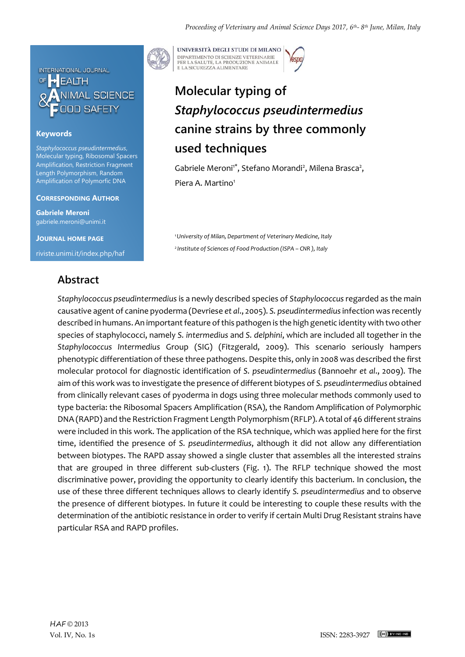

### **Keywords**

*Staphylococcus pseudintermedius*, Molecular typing, Ribosomal Spacers Amplification, Restriction Fragment Length Polymorphism, Random Amplification of Polymorfic DNA

#### **CORRESPONDING AUTHOR**

**Gabriele Meroni** gabriele.meroni@unimi.it

**JOURNAL HOME PAGE** riviste.unimi.it/index.php/haf

## **Abstract**



UNIVERSITÀ DEGLI STUDI DI MILANO DIPARTIMENTO DI SCIENZE VETERINARIE PER LA SALUTE, LA PRODUZIONE ANIMALE<br>E LA SICUREZZA ALIMENTARE

# **Molecular typing of**  *Staphylococcus pseudintermedius*  **canine strains by three commonly used techniques**

Gabriele Meroni<sup>1\*</sup>, Stefano Morandi<sup>2</sup>, Milena Brasca<sup>2</sup>, Piera A. Martino<sup>1</sup>

*<sup>1</sup>University of Milan, Department of Veterinary Medicine, Italy <sup>2</sup>Institute of Sciences of Food Production (ISPA – CNR ), Italy*

*Staphylococcus pseudintermedius* is a newly described species of *Staphylococcus* regarded as the main causative agent of canine pyoderma (Devriese *et al*., 2005). *S. pseudintermedius*infection was recently described in humans. An important feature of this pathogen is the high genetic identity with two other species of staphylococci, namely *S. intermedius* and *S. delphini*, which are included all together in the *Staphylococcus Intermedius* Group (SIG) (Fitzgerald, 2009). This scenario seriously hampers phenotypic differentiation of these three pathogens. Despite this, only in 2008 was described the first molecular protocol for diagnostic identification of *S. pseudintermedius* (Bannoehr *et al*., 2009). The aim of this work was to investigate the presence of different biotypes of *S. pseudintermedius* obtained from clinically relevant cases of pyoderma in dogs using three molecular methods commonly used to type bacteria: the Ribosomal Spacers Amplification (RSA), the Random Amplification of Polymorphic DNA (RAPD) and the Restriction Fragment Length Polymorphism (RFLP). A total of 46 different strains were included in this work. The application of the RSA technique, which was applied here for the first time, identified the presence of *S. pseudintermedius*, although it did not allow any differentiation between biotypes. The RAPD assay showed a single cluster that assembles all the interested strains that are grouped in three different sub-clusters (Fig. 1). The RFLP technique showed the most discriminative power, providing the opportunity to clearly identify this bacterium. In conclusion, the use of these three different techniques allows to clearly identify *S. pseudintermedius* and to observe the presence of different biotypes. In future it could be interesting to couple these results with the determination of the antibiotic resistance in order to verify if certain Multi Drug Resistant strains have particular RSA and RAPD profiles.